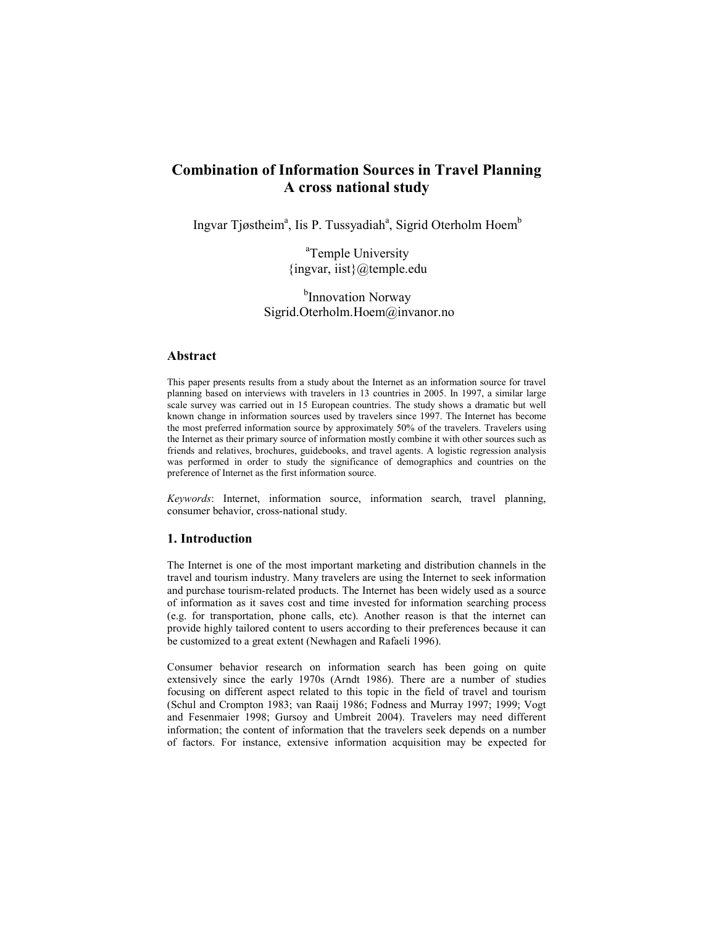# Combination of Information Sources in Travel Planning A cross national study

Ingvar Tjøstheim<sup>a</sup>, Iis P. Tussyadiah<sup>a</sup>, Sigrid Oterholm Hoem<sup>b</sup>

<sup>a</sup>Temple University {ingvar, iist}@temple.edu

<sup>b</sup>Innovation Norway Sigrid.Oterholm.Hoem@invanor.no

# Abstract

This paper presents results from a study about the Internet as an information source for travel planning based on interviews with travelers in 13 countries in 2005. In 1997, a similar large scale survey was carried out in 15 European countries. The study shows a dramatic but well known change in information sources used by travelers since 1997. The Internet has become the most preferred information source by approximately 50% of the travelers. Travelers using the Internet as their primary source of information mostly combine it with other sources such as friends and relatives, brochures, guidebooks, and travel agents. A logistic regression analysis was performed in order to study the significance of demographics and countries on the preference of Internet as the first information source.

Keywords: Internet, information source, information search, travel planning, consumer behavior, cross-national study.

## 1. Introduction

The Internet is one of the most important marketing and distribution channels in the travel and tourism industry. Many travelers are using the Internet to seek information and purchase tourism-related products. The Internet has been widely used as a source of information as it saves cost and time invested for information searching process (e.g. for transportation, phone calls, etc). Another reason is that the internet can provide highly tailored content to users according to their preferences because it can be customized to a great extent (Newhagen and Rafaeli 1996).

Consumer behavior research on information search has been going on quite extensively since the early 1970s (Arndt 1986). There are a number of studies focusing on different aspect related to this topic in the field of travel and tourism (Schul and Crompton 1983; van Raaij 1986; Fodness and Murray 1997; 1999; Vogt and Fesenmaier 1998; Gursoy and Umbreit 2004). Travelers may need different information; the content of information that the travelers seek depends on a number of factors. For instance, extensive information acquisition may be expected for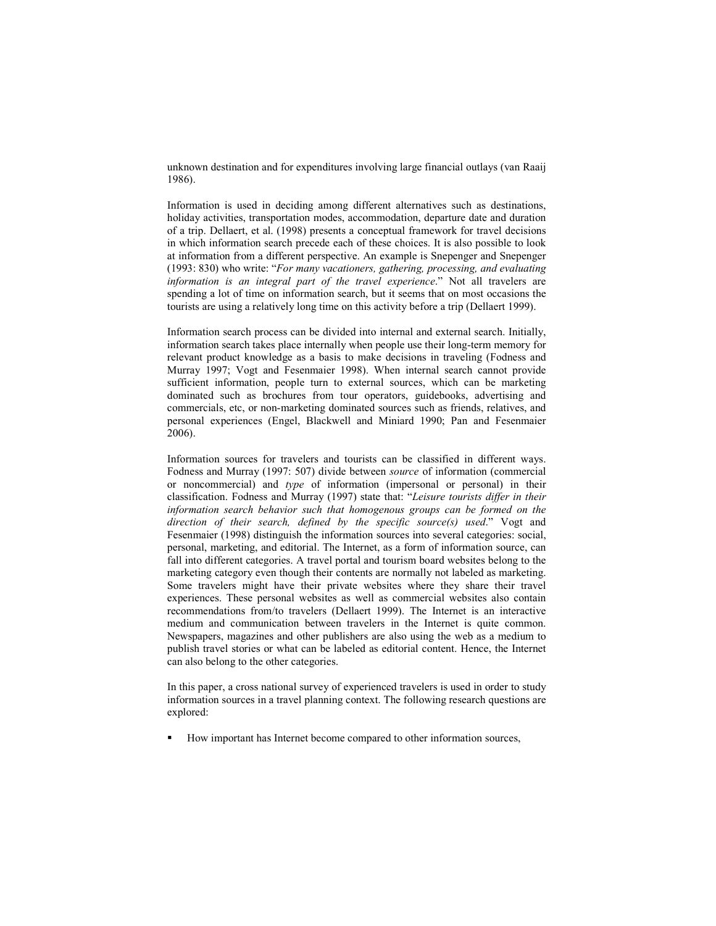unknown destination and for expenditures involving large financial outlays (van Raaij 1986).

Information is used in deciding among different alternatives such as destinations, holiday activities, transportation modes, accommodation, departure date and duration of a trip. Dellaert, et al. (1998) presents a conceptual framework for travel decisions in which information search precede each of these choices. It is also possible to look at information from a different perspective. An example is Snepenger and Snepenger (1993: 830) who write: "For many vacationers, gathering, processing, and evaluating information is an integral part of the travel experience." Not all travelers are spending a lot of time on information search, but it seems that on most occasions the tourists are using a relatively long time on this activity before a trip (Dellaert 1999).

Information search process can be divided into internal and external search. Initially, information search takes place internally when people use their long-term memory for relevant product knowledge as a basis to make decisions in traveling (Fodness and Murray 1997; Vogt and Fesenmaier 1998). When internal search cannot provide sufficient information, people turn to external sources, which can be marketing dominated such as brochures from tour operators, guidebooks, advertising and commercials, etc, or non-marketing dominated sources such as friends, relatives, and personal experiences (Engel, Blackwell and Miniard 1990; Pan and Fesenmaier 2006).

Information sources for travelers and tourists can be classified in different ways. Fodness and Murray (1997: 507) divide between source of information (commercial or noncommercial) and type of information (impersonal or personal) in their classification. Fodness and Murray (1997) state that: "Leisure tourists differ in their information search behavior such that homogenous groups can be formed on the direction of their search, defined by the specific source(s) used." Vogt and Fesenmaier (1998) distinguish the information sources into several categories: social, personal, marketing, and editorial. The Internet, as a form of information source, can fall into different categories. A travel portal and tourism board websites belong to the marketing category even though their contents are normally not labeled as marketing. Some travelers might have their private websites where they share their travel experiences. These personal websites as well as commercial websites also contain recommendations from/to travelers (Dellaert 1999). The Internet is an interactive medium and communication between travelers in the Internet is quite common. Newspapers, magazines and other publishers are also using the web as a medium to publish travel stories or what can be labeled as editorial content. Hence, the Internet can also belong to the other categories.

In this paper, a cross national survey of experienced travelers is used in order to study information sources in a travel planning context. The following research questions are explored:

How important has Internet become compared to other information sources,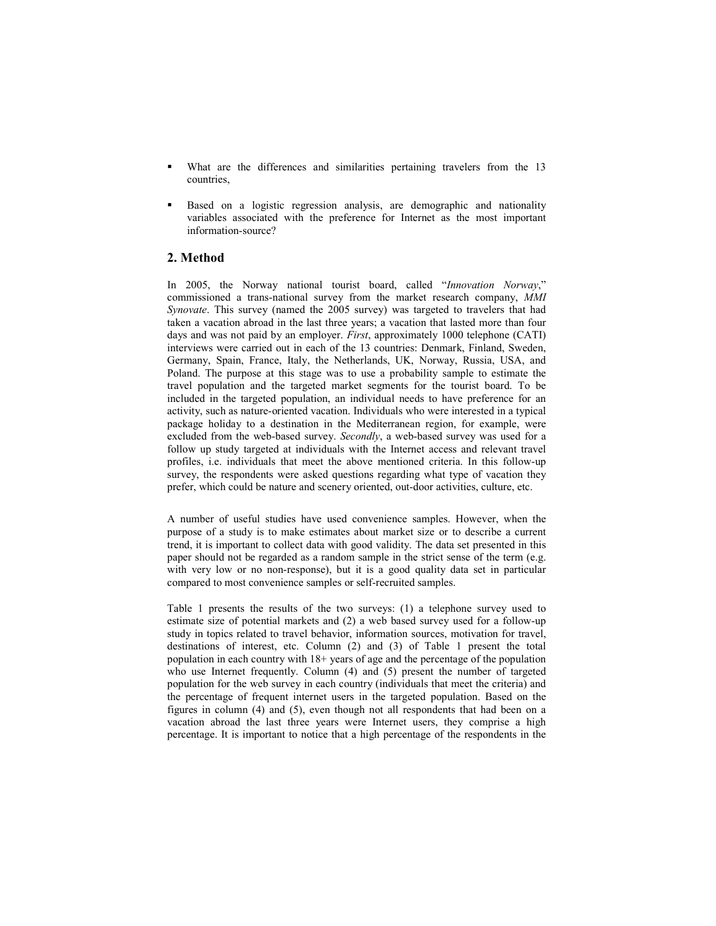- What are the differences and similarities pertaining travelers from the 13 countries,
- Based on a logistic regression analysis, are demographic and nationality variables associated with the preference for Internet as the most important information-source?

# 2. Method

In 2005, the Norway national tourist board, called "Innovation Norway," commissioned a trans-national survey from the market research company, MMI Synovate. This survey (named the 2005 survey) was targeted to travelers that had taken a vacation abroad in the last three years; a vacation that lasted more than four days and was not paid by an employer. First, approximately 1000 telephone (CATI) interviews were carried out in each of the 13 countries: Denmark, Finland, Sweden, Germany, Spain, France, Italy, the Netherlands, UK, Norway, Russia, USA, and Poland. The purpose at this stage was to use a probability sample to estimate the travel population and the targeted market segments for the tourist board. To be included in the targeted population, an individual needs to have preference for an activity, such as nature-oriented vacation. Individuals who were interested in a typical package holiday to a destination in the Mediterranean region, for example, were excluded from the web-based survey. Secondly, a web-based survey was used for a follow up study targeted at individuals with the Internet access and relevant travel profiles, i.e. individuals that meet the above mentioned criteria. In this follow-up survey, the respondents were asked questions regarding what type of vacation they prefer, which could be nature and scenery oriented, out-door activities, culture, etc.

A number of useful studies have used convenience samples. However, when the purpose of a study is to make estimates about market size or to describe a current trend, it is important to collect data with good validity. The data set presented in this paper should not be regarded as a random sample in the strict sense of the term (e.g. with very low or no non-response), but it is a good quality data set in particular compared to most convenience samples or self-recruited samples.

Table 1 presents the results of the two surveys: (1) a telephone survey used to estimate size of potential markets and (2) a web based survey used for a follow-up study in topics related to travel behavior, information sources, motivation for travel, destinations of interest, etc. Column (2) and (3) of Table 1 present the total population in each country with 18+ years of age and the percentage of the population who use Internet frequently. Column (4) and (5) present the number of targeted population for the web survey in each country (individuals that meet the criteria) and the percentage of frequent internet users in the targeted population. Based on the figures in column (4) and (5), even though not all respondents that had been on a vacation abroad the last three years were Internet users, they comprise a high percentage. It is important to notice that a high percentage of the respondents in the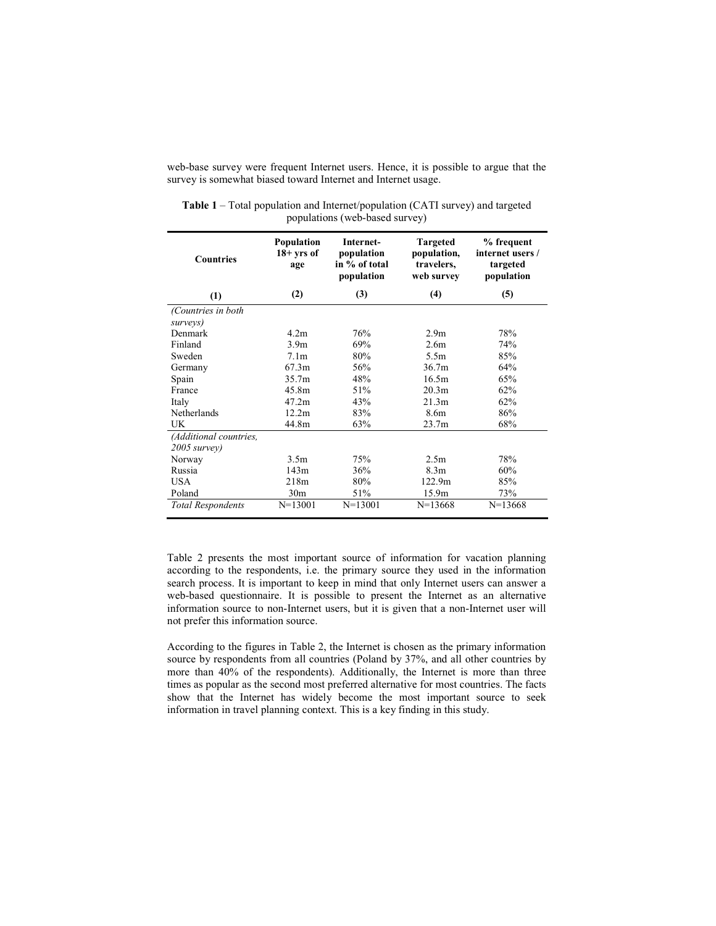web-base survey were frequent Internet users. Hence, it is possible to argue that the survey is somewhat biased toward Internet and Internet usage.

| <b>Countries</b>         | Population<br>$18 + yrs$ of<br>age | Internet-<br>population<br>in % of total<br>population | <b>Targeted</b><br>population,<br>travelers,<br>web survey | % frequent<br>internet users /<br>targeted<br>population |
|--------------------------|------------------------------------|--------------------------------------------------------|------------------------------------------------------------|----------------------------------------------------------|
| (1)                      | (2)                                | (3)                                                    | (4)                                                        | (5)                                                      |
| (Countries in both       |                                    |                                                        |                                                            |                                                          |
| surveys)                 |                                    |                                                        |                                                            |                                                          |
| Denmark                  | 42m                                | 76%                                                    | 2.9 <sub>m</sub>                                           | 78%                                                      |
| Finland                  | 3.9 <sub>m</sub>                   | 69%                                                    | 2.6m                                                       | 74%                                                      |
| Sweden                   | 7.1 <sub>m</sub>                   | 80%                                                    | 5.5m                                                       | 85%                                                      |
| Germany                  | 67.3m                              | 56%                                                    | 36.7 <sub>m</sub>                                          | 64%                                                      |
| Spain                    | 35.7m                              | 48%                                                    | 16.5m                                                      | 65%                                                      |
| France                   | 45.8m                              | 51%                                                    | 20.3 <sub>m</sub>                                          | 62%                                                      |
| Italy                    | 47.2m                              | 43%                                                    | 21.3m                                                      | 62%                                                      |
| Netherlands              | 12.2m                              | 83%                                                    | 8.6m                                                       | 86%                                                      |
| UK                       | 44.8m                              | 63%                                                    | 23.7m                                                      | 68%                                                      |
| (Additional countries,   |                                    |                                                        |                                                            |                                                          |
| $2005$ survey)           |                                    |                                                        |                                                            |                                                          |
| Norway                   | 3.5m                               | 75%                                                    | 2.5m                                                       | 78%                                                      |
| Russia                   | 143m                               | 36%                                                    | 8.3 <sub>m</sub>                                           | 60%                                                      |
| <b>USA</b>               | 218m                               | 80%                                                    | 122.9m                                                     | 85%                                                      |
| Poland                   | 30 <sub>m</sub>                    | 51%                                                    | 15.9m                                                      | 73%                                                      |
| <b>Total Respondents</b> | $N = 13001$                        | $N=13001$                                              | $N=13668$                                                  | $N=13668$                                                |

Table 1 – Total population and Internet/population (CATI survey) and targeted populations (web-based survey)

Table 2 presents the most important source of information for vacation planning according to the respondents, i.e. the primary source they used in the information search process. It is important to keep in mind that only Internet users can answer a web-based questionnaire. It is possible to present the Internet as an alternative information source to non-Internet users, but it is given that a non-Internet user will not prefer this information source.

According to the figures in Table 2, the Internet is chosen as the primary information source by respondents from all countries (Poland by 37%, and all other countries by more than 40% of the respondents). Additionally, the Internet is more than three times as popular as the second most preferred alternative for most countries. The facts show that the Internet has widely become the most important source to seek information in travel planning context. This is a key finding in this study.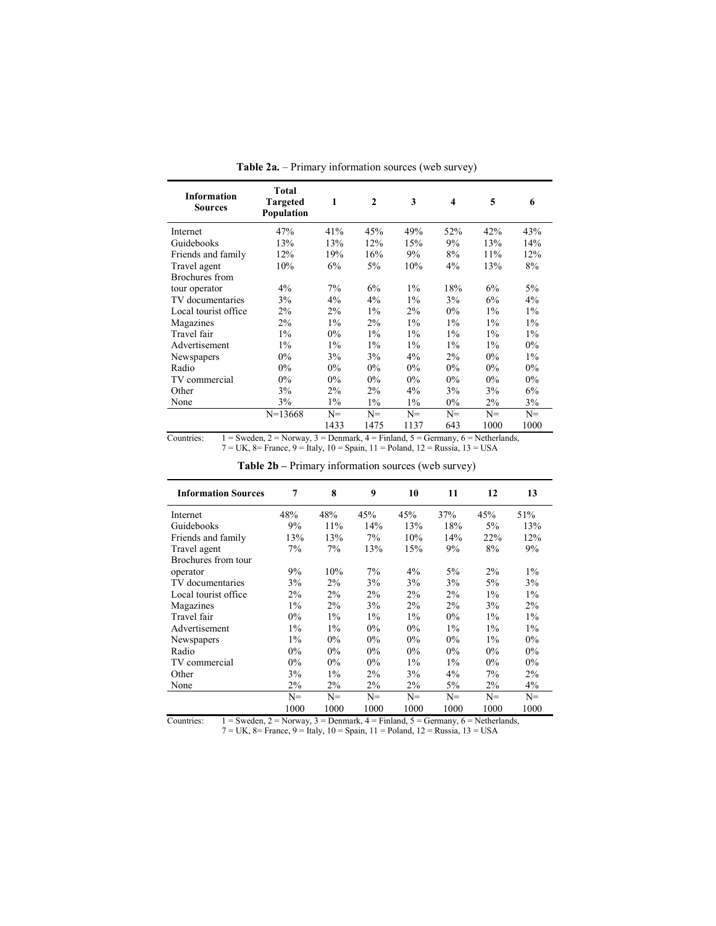| <b>Information</b><br><b>Sources</b> | Total<br><b>Targeted</b><br>Population | 1     | $\mathbf{2}$ | 3     | $\overline{\mathbf{4}}$ | 5     | 6     |
|--------------------------------------|----------------------------------------|-------|--------------|-------|-------------------------|-------|-------|
| Internet                             | 47%                                    | 41%   | 45%          | 49%   | 52%                     | 42%   | 43%   |
| Guidebooks                           | 13%                                    | 13%   | 12%          | 15%   | 9%                      | 13%   | 14%   |
| Friends and family                   | 12%                                    | 19%   | 16%          | 9%    | 8%                      | 11%   | 12%   |
| Travel agent                         | 10%                                    | 6%    | $5\%$        | 10%   | $4\%$                   | 13%   | 8%    |
| Brochures from                       |                                        |       |              |       |                         |       |       |
| tour operator                        | $4\%$                                  | 7%    | 6%           | $1\%$ | 18%                     | 6%    | $5\%$ |
| TV documentaries                     | 3%                                     | $4\%$ | $4\%$        | $1\%$ | 3%                      | 6%    | $4\%$ |
| Local tourist office                 | 2%                                     | 2%    | $1\%$        | 2%    | $0\%$                   | $1\%$ | $1\%$ |
| Magazines                            | $2\%$                                  | $1\%$ | $2\%$        | $1\%$ | $1\%$                   | $1\%$ | $1\%$ |
| Travel fair                          | $1\%$                                  | $0\%$ | $1\%$        | $1\%$ | $1\%$                   | $1\%$ | $1\%$ |
| Advertisement                        | $1\%$                                  | $1\%$ | $1\%$        | $1\%$ | $1\%$                   | $1\%$ | $0\%$ |
| Newspapers                           | $0\%$                                  | 3%    | 3%           | $4\%$ | $2\%$                   | $0\%$ | $1\%$ |
| Radio                                | $0\%$                                  | $0\%$ | $0\%$        | $0\%$ | $0\%$                   | $0\%$ | $0\%$ |
| TV commercial                        | $0\%$                                  | 0%    | $0\%$        | 0%    | $0\%$                   | 0%    | $0\%$ |
| Other                                | 3%                                     | $2\%$ | $2\%$        | $4\%$ | 3%                      | 3%    | 6%    |
| None                                 | 3%                                     | $1\%$ | $1\%$        | $1\%$ | $0\%$                   | $2\%$ | 3%    |
|                                      | $N=13668$                              | $N =$ | $N =$        | $N =$ | $N =$                   | $N=$  | $N =$ |
|                                      |                                        | 1433  | 1475         | 1137  | 643                     | 1000  | 1000  |

Table 2a. – Primary information sources (web survey)

Countries:  $1 = \text{Sweden}, 2 = \text{Norway}, 3 = \text{Denmark}, 4 = \text{Finland}, 5 = \text{Germany}, 6 = \text{Netherlands},$ 7 = UK, 8= France, 9 = Italy, 10 = Spain, 11 = Poland, 12 = Russia, 13 = USA

Table 2b – Primary information sources (web survey)

| <b>Information Sources</b> | 7     | 8     | 9     | 10    | 11    | 12    | 13    |
|----------------------------|-------|-------|-------|-------|-------|-------|-------|
| Internet                   | 48%   | 48%   | 45%   | 45%   | 37%   | 45%   | 51%   |
| Guidebooks                 | 9%    | 11%   | 14%   | 13%   | 18%   | $5\%$ | 13%   |
| Friends and family         | 13%   | 13%   | 7%    | 10%   | 14%   | 22%   | 12%   |
| Travel agent               | 7%    | 7%    | 13%   | 15%   | 9%    | 8%    | 9%    |
| Brochures from tour        |       |       |       |       |       |       |       |
| operator                   | 9%    | 10%   | 7%    | 4%    | $5\%$ | $2\%$ | $1\%$ |
| TV documentaries           | 3%    | 2%    | 3%    | 3%    | 3%    | $5\%$ | 3%    |
| Local tourist office       | $2\%$ | 2%    | 2%    | $2\%$ | 2%    | $1\%$ | $1\%$ |
| Magazines                  | $1\%$ | $2\%$ | 3%    | $2\%$ | $2\%$ | 3%    | $2\%$ |
| Travel fair                | $0\%$ | $1\%$ | $1\%$ | $1\%$ | $0\%$ | $1\%$ | $1\%$ |
| Advertisement              | $1\%$ | $1\%$ | $0\%$ | $0\%$ | $1\%$ | $1\%$ | $1\%$ |
| Newspapers                 | $1\%$ | $0\%$ | $0\%$ | $0\%$ | $0\%$ | $1\%$ | $0\%$ |
| Radio                      | $0\%$ | $0\%$ | $0\%$ | $0\%$ | $0\%$ | $0\%$ | $0\%$ |
| TV commercial              | $0\%$ | $0\%$ | $0\%$ | $1\%$ | $1\%$ | $0\%$ | $0\%$ |
| Other                      | 3%    | $1\%$ | 2%    | 3%    | 4%    | 7%    | $2\%$ |
| None                       | $2\%$ | $2\%$ | $2\%$ | $2\%$ | 5%    | $2\%$ | $4\%$ |
|                            | $N =$ | $N =$ | $N =$ | $N =$ | $N =$ | $N =$ | $N =$ |
|                            | 1000  | 1000  | 1000  | 1000  | 1000  | 1000  | 1000  |

Countries:  $1 = \text{Sweden}, 2 = \text{Norway}, 3 = \text{Denmark}, 4 = \text{Finland}, 5 = \text{Germany}, 6 = \text{Netherlands},$ 7 = UK, 8= France, 9 = Italy, 10 = Spain, 11 = Poland, 12 = Russia, 13 = USA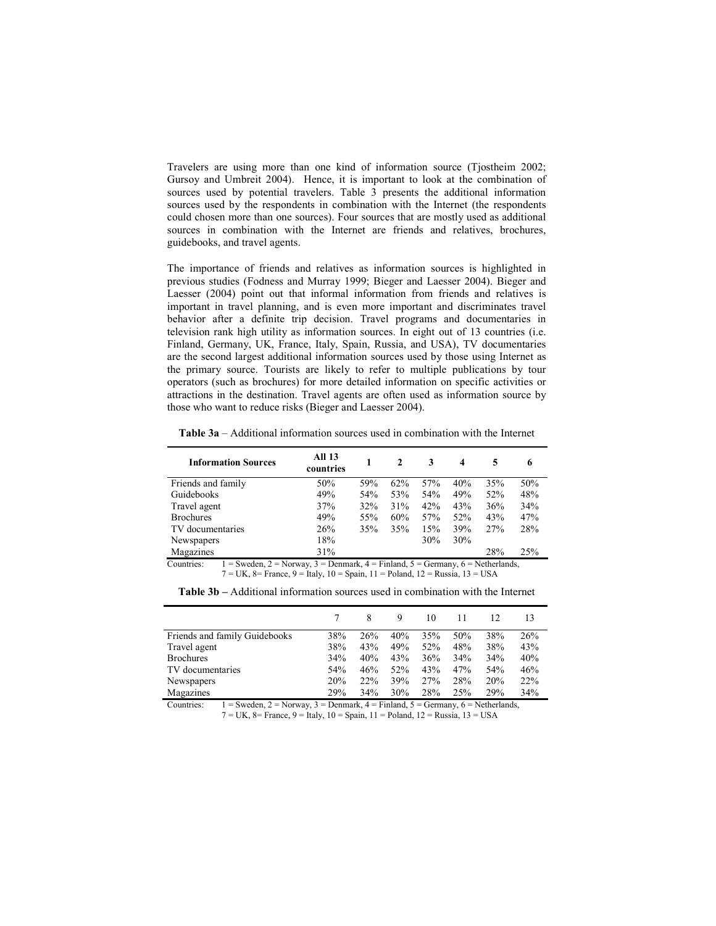Travelers are using more than one kind of information source (Tjostheim 2002; Gursoy and Umbreit 2004). Hence, it is important to look at the combination of sources used by potential travelers. Table 3 presents the additional information sources used by the respondents in combination with the Internet (the respondents could chosen more than one sources). Four sources that are mostly used as additional sources in combination with the Internet are friends and relatives, brochures, guidebooks, and travel agents.

The importance of friends and relatives as information sources is highlighted in previous studies (Fodness and Murray 1999; Bieger and Laesser 2004). Bieger and Laesser (2004) point out that informal information from friends and relatives is important in travel planning, and is even more important and discriminates travel behavior after a definite trip decision. Travel programs and documentaries in television rank high utility as information sources. In eight out of 13 countries (i.e. Finland, Germany, UK, France, Italy, Spain, Russia, and USA), TV documentaries are the second largest additional information sources used by those using Internet as the primary source. Tourists are likely to refer to multiple publications by tour operators (such as brochures) for more detailed information on specific activities or attractions in the destination. Travel agents are often used as information source by those who want to reduce risks (Bieger and Laesser 2004).

Table 3a – Additional information sources used in combination with the Internet

| <b>All 13</b><br>countries |     | 2   | 3   | 4   |     | 6                                                                                                             |
|----------------------------|-----|-----|-----|-----|-----|---------------------------------------------------------------------------------------------------------------|
| 50%                        | 59% | 62% | 57% | 40% | 35% | 50%                                                                                                           |
| 49%                        | 54% | 53% | 54% | 49% | 52% | 48%                                                                                                           |
| 37%                        | 32% | 31% | 42% | 43% | 36% | 34%                                                                                                           |
| 49%                        | 55% | 60% | 57% | 52% | 43% | 47%                                                                                                           |
| 26%                        | 35% | 35% | 15% | 39% | 27% | 28%                                                                                                           |
| 18%                        |     |     | 30% | 30% |     |                                                                                                               |
| 31%                        |     |     |     |     | 28% | 25%                                                                                                           |
|                            |     |     |     |     |     | $\Gamma = 0$ and an $\Omega = 0$ . Denoted by $\Gamma = 0$ and $\Gamma = 0$ and $\Gamma = 0$ and $\Gamma = 0$ |

Countries:  $1 = \text{Sweden}, 2 = \text{Norway}, 3 = \text{Denmark}, 4 = \text{Finland}, 5 = \text{German}, 6 = \text{Netherlands},$  $7 = UK$ ,  $8 = France$ ,  $9 = Italy$ ,  $10 = Spain$ ,  $11 = Poland$ ,  $12 = Russia$ ,  $13 = USA$ 

| <b>Table 3b</b> – Additional information sources used in combination with the Internet |  |
|----------------------------------------------------------------------------------------|--|
|----------------------------------------------------------------------------------------|--|

|                               |     | 8   | 9   | 10  | 11  | 12  | 13  |
|-------------------------------|-----|-----|-----|-----|-----|-----|-----|
| Friends and family Guidebooks | 38% | 26% | 40% | 35% | 50% | 38% | 26% |
| Travel agent                  | 38% | 43% | 49% | 52% | 48% | 38% | 43% |
| <b>Brochures</b>              | 34% | 40% | 43% | 36% | 34% | 34% | 40% |
| TV documentaries              | 54% | 46% | 52% | 43% | 47% | 54% | 46% |
| <b>Newspapers</b>             | 20% | 22% | 39% | 27% | 28% | 20% | 22% |
| Magazines                     | 29% | 34% | 30% | 28% | 25% | 29% | 34% |

Countries:  $1 = \text{Sweden}$ ,  $2 = \text{Norway}$ ,  $3 = \text{Denmark}$ ,  $4 = \text{Finland}$ ,  $5 = \text{Germany}$ ,  $6 = \text{Netherlands}$  $7 = UK$ ,  $8 = France$ ,  $9 = Italy$ ,  $10 = Spain$ ,  $11 = Poland$ ,  $12 = Russia$ ,  $13 = USA$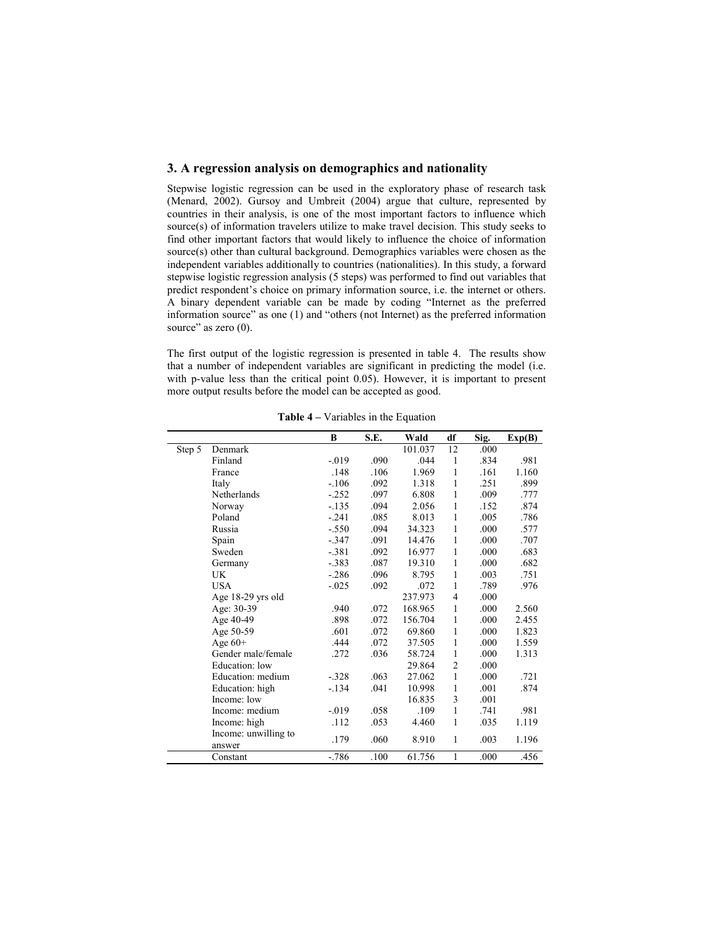#### 3. A regression analysis on demographics and nationality

Stepwise logistic regression can be used in the exploratory phase of research task (Menard, 2002). Gursoy and Umbreit (2004) argue that culture, represented by countries in their analysis, is one of the most important factors to influence which source(s) of information travelers utilize to make travel decision. This study seeks to find other important factors that would likely to influence the choice of information source(s) other than cultural background. Demographics variables were chosen as the independent variables additionally to countries (nationalities). In this study, a forward stepwise logistic regression analysis (5 steps) was performed to find out variables that predict respondent's choice on primary information source, i.e. the internet or others. A binary dependent variable can be made by coding "Internet as the preferred information source" as one (1) and "others (not Internet) as the preferred information source" as zero  $(0)$ .

The first output of the logistic regression is presented in table 4. The results show that a number of independent variables are significant in predicting the model (i.e. with p-value less than the critical point 0.05). However, it is important to present more output results before the model can be accepted as good.

|        |                      | B        | S.E. | Wald    | df             | Sig. | Exp(B) |
|--------|----------------------|----------|------|---------|----------------|------|--------|
| Step 5 | Denmark              |          |      | 101.037 | 12             | .000 |        |
|        | Finland              | $-0.019$ | .090 | .044    | 1              | .834 | .981   |
|        | France               | .148     | .106 | 1.969   | 1              | .161 | 1.160  |
|        | Italy                | $-.106$  | .092 | 1.318   | 1              | .251 | .899   |
|        | Netherlands          | $-0.252$ | .097 | 6.808   | 1              | .009 | .777   |
|        | Norway               | $-.135$  | .094 | 2.056   | 1              | .152 | .874   |
|        | Poland               | $-.241$  | .085 | 8.013   | 1              | .005 | .786   |
|        | Russia               | $-.550$  | .094 | 34.323  | 1              | .000 | .577   |
|        | Spain                | $-.347$  | .091 | 14.476  | 1              | .000 | .707   |
|        | Sweden               | $-.381$  | .092 | 16.977  | 1              | .000 | .683   |
|        | Germany              | $-.383$  | .087 | 19.310  | 1              | .000 | .682   |
|        | UK                   | $-.286$  | .096 | 8.795   | 1              | .003 | .751   |
|        | <b>USA</b>           | $-0.025$ | .092 | .072    | 1              | .789 | .976   |
|        | Age 18-29 yrs old    |          |      | 237.973 | 4              | .000 |        |
|        | Age: 30-39           | .940     | .072 | 168.965 | 1              | .000 | 2.560  |
|        | Age 40-49            | .898     | .072 | 156.704 | 1              | .000 | 2.455  |
|        | Age 50-59            | .601     | .072 | 69.860  | 1              | .000 | 1.823  |
|        | Age $60+$            | .444     | .072 | 37.505  | 1              | .000 | 1.559  |
|        | Gender male/female   | .272     | .036 | 58.724  | 1              | .000 | 1.313  |
|        | Education: low       |          |      | 29.864  | $\overline{c}$ | .000 |        |
|        | Education: medium    | $-.328$  | .063 | 27.062  | 1              | .000 | .721   |
|        | Education: high      | $-.134$  | .041 | 10.998  | 1              | .001 | .874   |
|        | Income: low          |          |      | 16.835  | 3              | .001 |        |
|        | Income: medium       | $-0.019$ | .058 | .109    | 1              | .741 | .981   |
|        | Income: high         | .112     | .053 | 4.460   | 1              | .035 | 1.119  |
|        | Income: unwilling to | .179     | .060 | 8.910   | 1              | .003 | 1.196  |
|        | answer               |          |      |         |                |      |        |
|        | Constant             | $-.786$  | .100 | 61.756  | 1              | .000 | .456   |

Table 4 – Variables in the Equation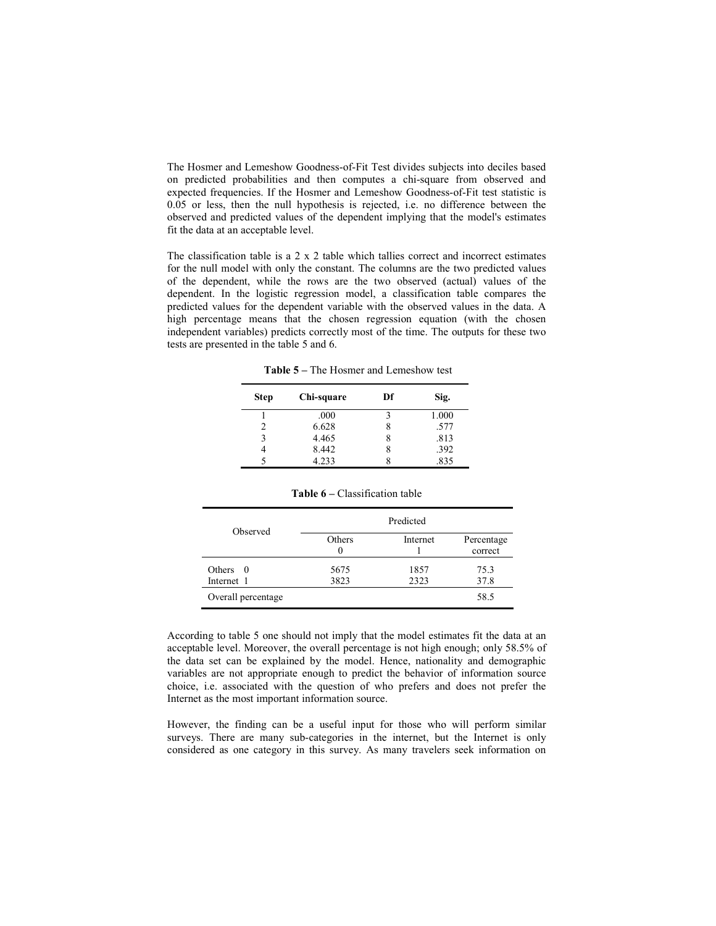The Hosmer and Lemeshow Goodness-of-Fit Test divides subjects into deciles based on predicted probabilities and then computes a chi-square from observed and expected frequencies. If the Hosmer and Lemeshow Goodness-of-Fit test statistic is 0.05 or less, then the null hypothesis is rejected, i.e. no difference between the observed and predicted values of the dependent implying that the model's estimates fit the data at an acceptable level.

The classification table is a 2 x 2 table which tallies correct and incorrect estimates for the null model with only the constant. The columns are the two predicted values of the dependent, while the rows are the two observed (actual) values of the dependent. In the logistic regression model, a classification table compares the predicted values for the dependent variable with the observed values in the data. A high percentage means that the chosen regression equation (with the chosen independent variables) predicts correctly most of the time. The outputs for these two tests are presented in the table 5 and 6.

Table 5 – The Hosmer and Lemeshow test

| <b>Step</b> | Chi-square | Df | Sig.  |
|-------------|------------|----|-------|
|             | .000       |    | 1.000 |
|             | 6.628      |    | .577  |
| 2           | 4.465      |    | .813  |
|             | 8.442      |    | .392  |
|             | 4.233      |    | .835  |

|                          |              | Predicted    |                       |
|--------------------------|--------------|--------------|-----------------------|
| Observed                 | Others<br>0  | Internet     | Percentage<br>correct |
| Others $0$<br>Internet 1 | 5675<br>3823 | 1857<br>2323 | 75.3<br>37.8          |
| Overall percentage       |              |              | 58.5                  |

Table 6 – Classification table

According to table 5 one should not imply that the model estimates fit the data at an acceptable level. Moreover, the overall percentage is not high enough; only 58.5% of the data set can be explained by the model. Hence, nationality and demographic variables are not appropriate enough to predict the behavior of information source choice, i.e. associated with the question of who prefers and does not prefer the Internet as the most important information source.

However, the finding can be a useful input for those who will perform similar surveys. There are many sub-categories in the internet, but the Internet is only considered as one category in this survey. As many travelers seek information on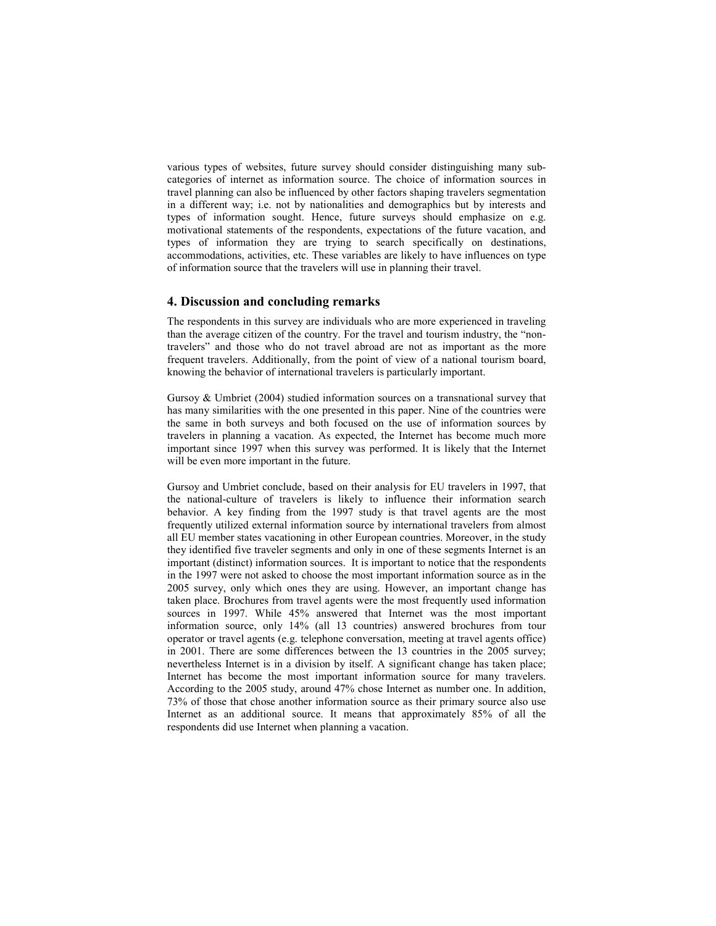various types of websites, future survey should consider distinguishing many subcategories of internet as information source. The choice of information sources in travel planning can also be influenced by other factors shaping travelers segmentation in a different way; i.e. not by nationalities and demographics but by interests and types of information sought. Hence, future surveys should emphasize on e.g. motivational statements of the respondents, expectations of the future vacation, and types of information they are trying to search specifically on destinations, accommodations, activities, etc. These variables are likely to have influences on type of information source that the travelers will use in planning their travel.

#### 4. Discussion and concluding remarks

The respondents in this survey are individuals who are more experienced in traveling than the average citizen of the country. For the travel and tourism industry, the "nontravelers" and those who do not travel abroad are not as important as the more frequent travelers. Additionally, from the point of view of a national tourism board, knowing the behavior of international travelers is particularly important.

Gursoy & Umbriet (2004) studied information sources on a transnational survey that has many similarities with the one presented in this paper. Nine of the countries were the same in both surveys and both focused on the use of information sources by travelers in planning a vacation. As expected, the Internet has become much more important since 1997 when this survey was performed. It is likely that the Internet will be even more important in the future.

Gursoy and Umbriet conclude, based on their analysis for EU travelers in 1997, that the national-culture of travelers is likely to influence their information search behavior. A key finding from the 1997 study is that travel agents are the most frequently utilized external information source by international travelers from almost all EU member states vacationing in other European countries. Moreover, in the study they identified five traveler segments and only in one of these segments Internet is an important (distinct) information sources. It is important to notice that the respondents in the 1997 were not asked to choose the most important information source as in the 2005 survey, only which ones they are using. However, an important change has taken place. Brochures from travel agents were the most frequently used information sources in 1997. While 45% answered that Internet was the most important information source, only 14% (all 13 countries) answered brochures from tour operator or travel agents (e.g. telephone conversation, meeting at travel agents office) in 2001. There are some differences between the 13 countries in the 2005 survey; nevertheless Internet is in a division by itself. A significant change has taken place; Internet has become the most important information source for many travelers. According to the 2005 study, around 47% chose Internet as number one. In addition, 73% of those that chose another information source as their primary source also use Internet as an additional source. It means that approximately 85% of all the respondents did use Internet when planning a vacation.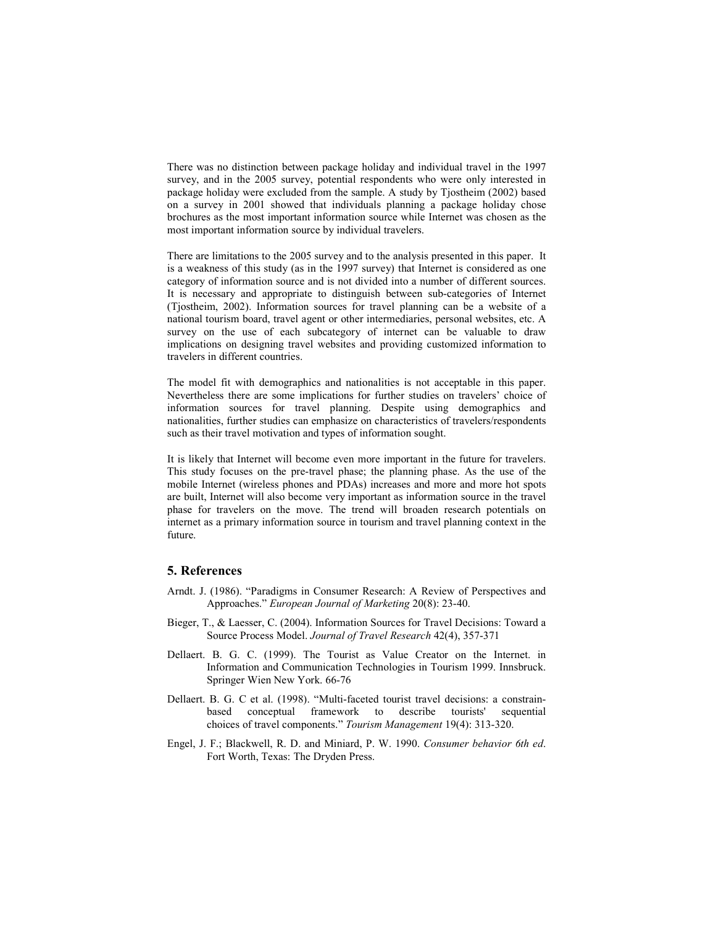There was no distinction between package holiday and individual travel in the 1997 survey, and in the 2005 survey, potential respondents who were only interested in package holiday were excluded from the sample. A study by Tjostheim (2002) based on a survey in 2001 showed that individuals planning a package holiday chose brochures as the most important information source while Internet was chosen as the most important information source by individual travelers.

There are limitations to the 2005 survey and to the analysis presented in this paper. It is a weakness of this study (as in the 1997 survey) that Internet is considered as one category of information source and is not divided into a number of different sources. It is necessary and appropriate to distinguish between sub-categories of Internet (Tjostheim, 2002). Information sources for travel planning can be a website of a national tourism board, travel agent or other intermediaries, personal websites, etc. A survey on the use of each subcategory of internet can be valuable to draw implications on designing travel websites and providing customized information to travelers in different countries.

The model fit with demographics and nationalities is not acceptable in this paper. Nevertheless there are some implications for further studies on travelers' choice of information sources for travel planning. Despite using demographics and nationalities, further studies can emphasize on characteristics of travelers/respondents such as their travel motivation and types of information sought.

It is likely that Internet will become even more important in the future for travelers. This study focuses on the pre-travel phase; the planning phase. As the use of the mobile Internet (wireless phones and PDAs) increases and more and more hot spots are built, Internet will also become very important as information source in the travel phase for travelers on the move. The trend will broaden research potentials on internet as a primary information source in tourism and travel planning context in the future.

#### 5. References

- Arndt. J. (1986). "Paradigms in Consumer Research: A Review of Perspectives and Approaches." European Journal of Marketing 20(8): 23-40.
- Bieger, T., & Laesser, C. (2004). Information Sources for Travel Decisions: Toward a Source Process Model. Journal of Travel Research 42(4), 357-371
- Dellaert. B. G. C. (1999). The Tourist as Value Creator on the Internet. in Information and Communication Technologies in Tourism 1999. Innsbruck. Springer Wien New York. 66-76
- Dellaert. B. G. C et al. (1998). "Multi-faceted tourist travel decisions: a constrainbased conceptual framework to describe tourists' sequential choices of travel components." Tourism Management 19(4): 313-320.
- Engel, J. F.; Blackwell, R. D. and Miniard, P. W. 1990. Consumer behavior 6th ed. Fort Worth, Texas: The Dryden Press.